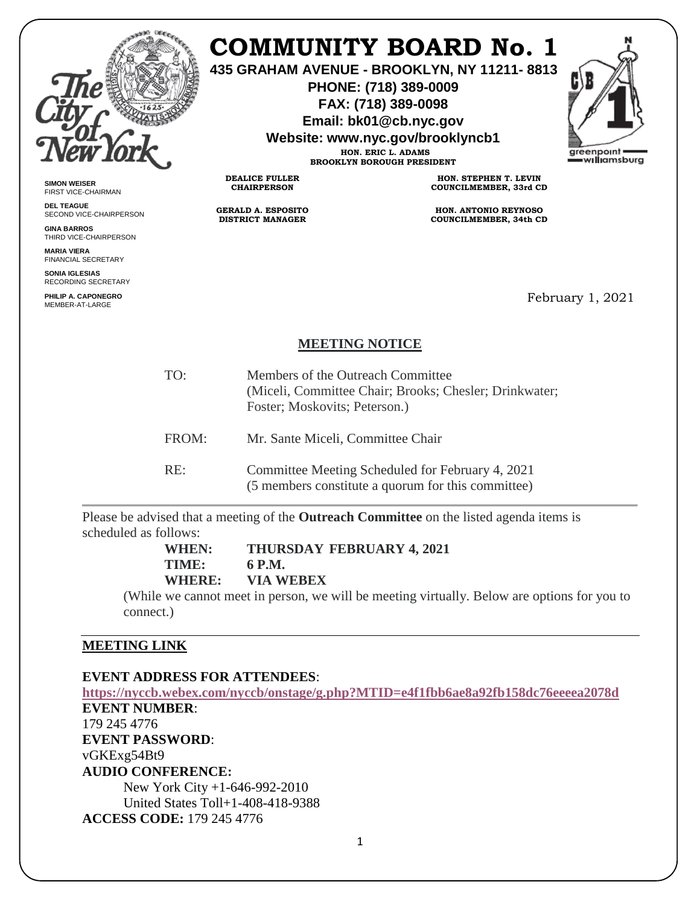

## **COMMUNITY BOARD No. 1**

**435 GRAHAM AVENUE - BROOKLYN, NY 11211- 8813**

**PHONE: (718) 389-0009 FAX: (718) 389-0098**

**Email: bk01@cb.nyc.gov**

**Website: www.nyc.gov/brooklyncb1**

**HON. ERIC L. ADAMS BROOKLYN BOROUGH PRESIDENT**



**SIMON WEISER** FIRST VICE-CHAIRMAN

**DEL TEAGUE** SECOND VICE-CHAIRPERSON

**GINA BARROS** THIRD VICE-CHAIRPERSON

**MARIA VIERA** FINANCIAL SECRETARY

**SONIA IGLESIAS** RECORDING SECRETARY

**PHILIP A. CAPONEGRO** MEMBER-AT-LARGE

**HON. STEPHEN T. LEVIN COUNCILMEMBER, 33rd CD**

**HON. ANTONIO REYNOSO COUNCILMEMBER, 34th CD**

February 1, 2021

## **MEETING NOTICE**

| TO:   | Members of the Outreach Committee<br>(Miceli, Committee Chair; Brooks; Chesler; Drinkwater;<br>Foster; Moskovits; Peterson.) |
|-------|------------------------------------------------------------------------------------------------------------------------------|
| FROM: | Mr. Sante Miceli, Committee Chair                                                                                            |
| RE:   | Committee Meeting Scheduled for February 4, 2021<br>(5 members constitute a quorum for this committee)                       |

Please be advised that a meeting of the **Outreach Committee** on the listed agenda items is scheduled as follows:

**WHEN: THURSDAY FEBRUARY 4, 2021**

**TIME: 6 P.M. WHERE: VIA WEBEX**

**DEALICE FULLER CHAIRPERSON**

**GERALD A. ESPOSITO DISTRICT MANAGER**

(While we cannot meet in person, we will be meeting virtually. Below are options for you to connect.)

## **MEETING LINK**

**EVENT ADDRESS FOR ATTENDEES**:

**[https://nyccb.webex.com/nyccb/onstage/g.php?MTID=e4f1fbb6ae8a92fb158dc76eeeea2078d](https://nyccb.webex.com/mw3300/mywebex/default.do?nomenu=true&siteurl=nyccb&service=6&rnd=0.46316772726261457&main_url=https%3A%2F%2Fnyccb.webex.com%2Fec3300%2Feventcenter%2Fevent%2FeventAction.do%3FtheAction%3Ddetail%26%26%26EMK%3D4832534b00000004cb4be59d8ec51aa182356f58d5b65efcfaeceade1a9e9a66354fa42bd4039bcf%26siteurl%3Dnyccb%26confViewID%3D184600118063829119%26encryptTicket%3DSDJTSwAAAAQHObrahG6am7EERroI8TVZdp66OGaIsDKxdooTPmDX9Q2%26) EVENT NUMBER**: 179 245 4776 **EVENT PASSWORD**: vGKExg54Bt9 **AUDIO CONFERENCE:** New York City +1-646-992-2010 United States Toll+1-408-418-9388 **ACCESS CODE:** 179 245 4776